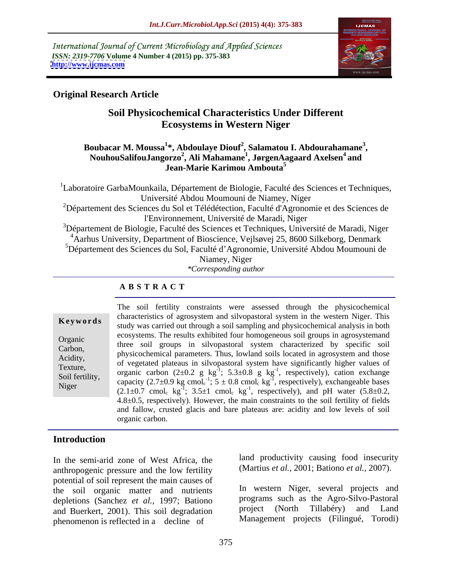International Journal of Current Microbiology and Applied Sciences *ISSN: 2319-7706* **Volume 4 Number 4 (2015) pp. 375-383 <http://www.ijcmas.com>**



# **Original Research Article**

# **Soil Physicochemical Characteristics Under Different Ecosystems in Western Niger**

### **Boubacar M. Moussa<sup>1</sup> \*, Abdoulaye Diouf<sup>2</sup> , Salamatou I. Abdourahamane<sup>3</sup>** oubacar M. Moussa<sup>1</sup>\*, Abdoulaye Diouf<sup>2</sup>, Salamatou I. Abdourahamane<sup>3</sup>,<br>NouhouSalifouJangorzo<sup>2</sup>, Ali Mahamane<sup>1</sup>, JørgenAagaard Axelsen<sup>4</sup> and **and Jean-Marie Karimou Ambouta<sup>5</sup>**

<sup>1</sup>Laboratoire GarbaMounkaila, Département de Biologie, Faculté des Sciences et Techniques, Université Abdou Moumouni de Niamey, Niger

<sup>2</sup>Département des Sciences du Sol et Télédétection, Faculté d'Agronomie et des Sciences de l'Environnement, Université de Maradi, Niger

<sup>3</sup>Département de Biologie, Faculté des Sciences et Techniques, Université de Maradi, Niger <sup>4</sup>Aarhus University, Department of Bioscience, Vejlsøvej 25, 8600 Silkeborg, Denmark

<sup>5</sup>Département des Sciences du Sol, Faculté d'Agronomie, Université Abdou Moumouni de Niamey, Niger

*\*Corresponding author*

### **A B S T R A C T**

Niger

The soil fertility constraints were assessed through the physicochemical characteristics of agrosystem and silvopastoral system in the western Niger. This **Keywords** characteristics of agrosystem and shoopastoral system in the western Figer. This study was carried out through a soil sampling and physicochemical analysis in both ecosystems. The results exhibited four homogeneous soil groups in agrosystemand Organic<br>
Three soil groups in silvopastoral system characterized by specific soil Carbon,<br>Agidity physicochemical parameters. Thus, lowland soils located in agrosystem and those Acidity,<br>Texture of vegetated plateaus in silvopastoral system have significantly higher values of organic carbon  $(2\pm 0.2 \text{ g kg}^{-1}; 5.3\pm 0.8 \text{ g kg}^{-1};$  respectively), cation exchange capacity (2.7 $\pm$ 0.9 kg cmol<sub>c</sub><sup>-1</sup>; 5  $\pm$  0.8 cmol<sub>c</sub> kg<sup>-1</sup>, respectively), exchangeable bases  $(2.1\pm0.7 \text{ cmol}_c \text{ kg}^{-1}; 3.5\pm1 \text{ cmol}_c \text{ kg}^{-1}, \text{ respectively})$ , and pH water  $(5.8\pm0.2,$ 4.8±0.5, respectively). However, the main constraints to the soil fertility of fields and fallow, crusted glacis and bare plateaus are: acidity and low levels of soil organic carbon. Texture,  $\frac{1}{2}$  or regulated plateaus in suropasional system have significantly inglict values of Soil fertility,  $\frac{0.000 \text{ m/s}}{2000 \text{ kg}}$  (2.10.2 g Kg),  $\frac{0.000 \text{ m/s}}{2000 \text{ kg}}$ ,  $\frac{0.0000 \text{ m/s}}{2000 \text{ kg}}$  (2.7.0.0 kg cm s<sup>1-1</sup>, 5.1.0.9 cm s<sup>1-1</sup>, generatively), explorately because

# **Introduction**

In the semi-arid zone of West Africa, the anthropogenic pressure and the low fertility potential of soil represent the main causes of the soil organic matter and nutrients depletions (Sanchez *et al.,* 1997; Bationo and Buerkert, 2001). This soil degradation phenomenon is reflected in a decline of

land productivity causing food insecurity (Martius *et al.,* 2001; Bationo *et al.,* 2007).

In western Niger, several projects and programs such as the Agro-Silvo-Pastoral project (North Tillabéry) and Land Management projects (Filingué, Torodi)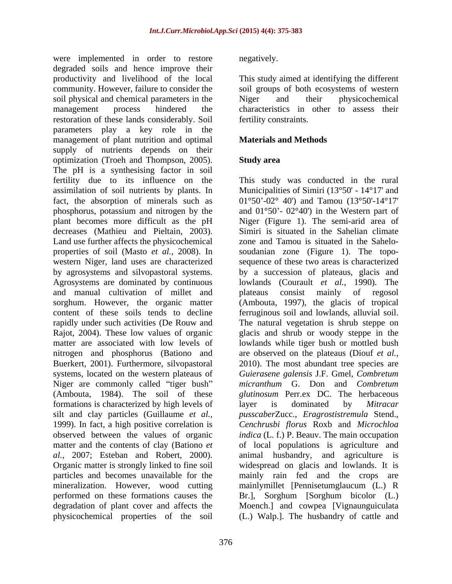were implemented in order to restore megatively. degraded soils and hence improve their productivity and livelihood of the local This study aimed at identifying the different community. However, failure to consider the soil groups of both ecosystems of western soil physical and chemical parameters in the solution Niger and their physicochemical management process hindered the characteristics in other to assess their restoration of these lands considerably. Soil parameters play a key role in the management of plant nutrition and optimal supply of nutrients depends on their optimization (Troeh and Thompson, 2005). The pH is a synthesising factor in soil fertility due to its influence on the This study was conducted in the rural assimilation of soil nutrients by plants. In fact, the absorption of minerals such as  $01^{\circ}50^{\circ}$ -02° 40') and Tamou (13°50'-14°17' phosphorus, potassium and nitrogen by the plant becomes more difficult as the pH Niger (Figure 1). The semi-arid area of decreases (Mathieu and Pieltain, 2003). Simiri is situated in the Sahelian climate<br>Land use further affects the physicochemical zone and Tamou is situated in the Saheloproperties of soil (Masto *et al.,* 2008). In soudanian zone (Figure 1). The topo western Niger, land uses are characterized sequence of these two areas is characterized by agrosystems and silvopastoral systems. by a succession of plateaus, glacis and Agrosystems are dominated by continuous and manual cultivation of millet and sorghum. However, the organic matter (Ambouta, 1997), the glacis of tropical content of these soils tends to decline rapidly under such activities (De Rouw and The natural vegetation is shrub steppe on Rajot, 2004). These low values of organic matter are associated with low levels of lowlands while tiger bush or mottled bush nitrogen and phosphorus (Bationo and Buerkert, 2001). Furthermore, silvopastoral 2010). The most abundant tree species are systems, located on the western plateaus of *Guierasene galensis* J.F. Gmel, *Combretum* Niger are commonly called "tiger bush" micranthum G. Don and Combretum (Ambouta, 1984). The soil of these *glutinosum* Perr.ex DC. The herbaceous formations is characterized by high levels of layer is dominated by *Mitracar* silt and clay particles (Guillaume *et al., pusscaber*Zucc., *Eragrostistremula* Stend., 1999). In fact, a high positive correlation is *Cenchrusbi florus* Roxb and *Microchloa* observed between the values of organic *indica* (L. f.) P. Beauv. The main occupation matter and the contents of clay (Bationo *et*  of local populations is agriculture and *al.,* 2007; Esteban and Robert, 2000). animal husbandry, and agriculture is Organic matter is strongly linked to fine soil widespread on glacis and lowlands. It is particles and becomes unavailable for the mainly rain fed and the crops are mineralization. However, wood cutting mainlymillet [Pennisetumglaucum (L.) R performed on these formations causes the Br.], Sorghum [Sorghum bicolor (L.) degradation of plant cover and affects the Moench.] and cowpea [Vignaunguiculata physicochemical properties of the soil (L.) Walp.]. The husbandry of cattle and

negatively.

Niger and their physicochemical fertility constraints.

### **Materials and Methods**

### **Study area**

Municipalities of Simiri (13°50' - 14°17' and and  $01^{\circ}50'$ -  $02^{\circ}40'$  in the Western part of Simiri is situated in the Sahelian climate zone and Tamou is situated in the Sahelo lowlands (Courault *et al.,* 1990). The consist mainly of regosol ferruginous soil and lowlands, alluvial soil. glacis and shrub or woody steppe in the are observed on the plateaus (Diouf *et al., micranthum* G. Don and *Combretum* layer is dominated by *Mitracar*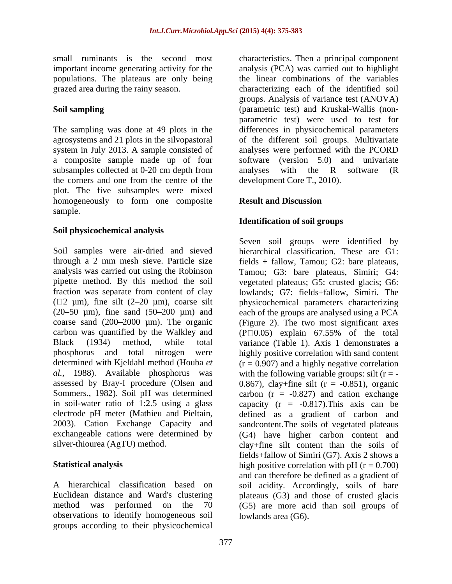important income generating activity for the populations. The plateaus are only being

subsamples collected at 0-20 cm depth from analyses with the R software (R the corners and one from the centre of the plot. The five subsamples were mixed homogeneously to form one composite Result and Discussion sample. The contract of the contract of the contract of the contract of the contract of the contract of the contract of the contract of the contract of the contract of the contract of the contract of the contract of the co

### **Soil physicochemical analysis**

(20 $-50 \mu$ m), fine sand (50 $-200 \mu$ m) and carbon was quantified by the Walkley and  $(P_0.05)$  explain 67.55% of the total electrode pH meter (Mathieu and Pieltain, 2003). Cation Exchange Capacity and

observations to identify homogeneous soil groups according to their physicochemical

small ruminants is the second most characteristics. Then a principal component grazed area during the rainy season. characterizing each of the identified soil **Soil sampling**  (parametric test) and Kruskal-Wallis (non- The sampling was done at 49 plots in the differences in physicochemical parameters agrosystems and 21 plots in the silvopastoral of the different soil groups. Multivariate system in July 2013. A sample consisted of analyses were performed with the PCORD a composite sample made up of four software (version 5.0) and univariate analysis (PCA) was carried out to highlight the linear combinations of the variables groups. Analysis of variance test (ANOVA) parametric test) were used to test for analyses with the R software (R development Core T., 2010).

## **Result and Discussion**

### **Identification of soil groups**

Soil samples were air-dried and sieved hierarchical classification. These are G1: through a 2 mm mesh sieve. Particle size fields + fallow, Tamou; G2: bare plateaus, analysis was carried out using the Robinson Tamou; G3: bare plateaus, Simiri; G4: pipette method. By this method the soil vegetated plateaus; G5: crusted glacis; G6: fraction was separate from content of clay lowlands; G7: fields+fallow, Simiri. The  $(\Box 2 \mu m)$ , fine silt  $(2-20 \mu m)$ , coarse silt physicochemical parameters characterizing coarse sand  $(200-2000 \mu m)$ . The organic (Figure 2). The two most significant axes Black (1934) method, while total variance (Table 1). Axis 1 demonstrates a phosphorus and total nitrogen were highly positive correlation with sand content determined with Kjeldahl method (Houba *et*  (r = 0.907) and a highly negative correlation *al.*, 1988). Available phosphorus was with the following variable groups: silt  $(r = -1)$ assessed by Bray-I procedure (Olsen and 0.867), clay+fine silt (r = -0.851), organic Sommers., 1982). Soil pH was determined carbon (r = -0.827) and cation exchange in soil-water ratio of 1:2.5 using a glass capacity (r = -0.817).This axis can be exchangeable cations were determined by (G4) have higher carbon content and silver-thiourea (AgTU) method. clay+fine silt content than the soils of **Statistical analysis** high positive correlation with pH (r = 0.700) A hierarchical classification based on soil acidity. Accordingly, soils of bare Euclidean distance and Ward's clustering plateaus (G3) and those of crusted glacis method was performed on the 70 (G5) are more acid than soil groups of Seven soil groups were identified by each of the groups are analysed using a PCA  $(P \Box 0.05)$  explain 67.55% of the total defined as a gradient of carbon and sandcontent.The soils of vegetated plateaus fields+fallow of Simiri (G7). Axis 2 shows a and can therefore be defined as a gradient of lowlands area (G6).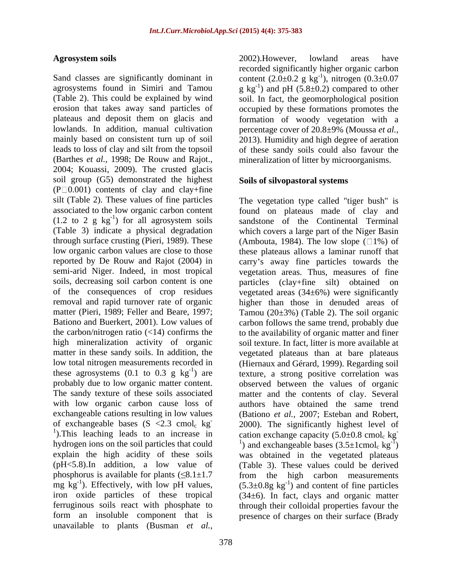agrosystems found in Simiri and Tamou  $g kg^{-1}$  and pH (5.8 $\pm$ 0.2) compared to other (Table 2). This could be explained by wind soil. In fact, the geomorphological position erosion that takes away sand particles of occupied by these formations promotes the plateaus and deposit them on glacis and formation of woody vegetation with a lowlands. In addition, manual cultivation percentage cover of 20.8±9% (Moussa *et al.,* mainly based on consistent turn up of soil 2013). Humidity and high degree of aeration leads to loss of clay and silt from the topsoil of these sandy soils could also favour the (Barthes *et al.*, 1998; De Rouw and Rajot., mineralization of litter by microorganisms.<br>2004; Kouassi, 2009). The crusted glacis soil group (G5) demonstrated the highest  $(P \Box 0.001)$  contents of clay and clay+fine soils, decreasing soil carbon content is one barticles (clay-fine silt) obtained on The sandy texture of these soils associated exchangeable cations resulting in low values mg  $kg^{-1}$ ). Effectively, with low pH values, form an insoluble component that is presence of charges on their surface (Bradyunavailable to plants (Busman *et al.,*

378

Agrosystem soils and a same and a search of the 2002). However, lowland areas have Sand classes are significantly dominant in content  $(2.0 \pm 0.2 \text{ g kg}^{-1})$ , nitrogen  $(0.3 \pm 0.07 \text{ m})$ 2002).However, lowland areas have recorded significantly higher organic carbon ), nitrogen (0.3±0.07 mineralization of litter by microorganisms.

### **Soils of silvopastoral systems**

silt (Table 2). These values of fine particles The vegetation type called "tiger bush" is associated to the low organic carbon content found on plateaus made of clay and  $(1.2 \text{ to } 2 \text{ g kg}^{-1})$  for all agrosystem soils sandstone of the Continental Terminal (Table 3) indicate a physical degradation which covers a large part of the Niger Basin through surface crusting (Pieri, 1989). These  $\qquad \qquad$  (Ambouta, 1984). The low slope ( $\Box$ 1%) of low organic carbon values are close to those these plateaus allows a laminar runoff that reported by De Rouw and Rajot (2004) in carry's away fine particles towards the semi-arid Niger. Indeed, in most tropical vegetation areas. Thus, measures of fine of the consequences of crop residues vegetated areas (34±6%) were significantly removal and rapid turnover rate of organic higher than those in denuded areas of matter (Pieri, 1989; Feller and Beare, 1997; Tamou (20±3%) (Table 2). The soil organic Bationo and Buerkert, 2001). Low values of carbon follows the same trend, probably due the carbon/nitrogen ratio (<14) confirms the to the availability of organic matter and finer high mineralization activity of organic soil texture. In fact, litter is more available at matter in these sandy soils. In addition, the vegetated plateaus than at bare plateaus low total nitrogen measurements recorded in (Hiernaux and Gérard, 1999). Regarding soil these agrosystems  $(0.1 \text{ to } 0.3 \text{ g kg}^{-1})$  are  $\left(\frac{1}{100}\right)$  texture, a strong positive correlation was probably due to low organic matter content. observed between the values of organic with low organic carbon cause loss of authors have obtained the same trend of exchangeable bases  $(S \le 2.3 \text{ cmol}_c \text{ kg}$  2000). The significantly highest level of <sup>1</sup>). This leaching leads to an increase in cation exchange capacity (5.0 $\pm$ 0.8 cmol<sub>c</sub> kg<sup>-1</sup> hydrogen ions on the soil particles that could  $1)$  and exchangeable bases  $(3.5 \pm 1 \text{cmol}_c \text{ kg}^{-1})$ explain the high acidity of these soils was obtained in the vegetated plateaus (pH<5.8).In addition, a low value of (Table 3). These values could be derived phosphorus is available for plants  $(\leq 8.1 \pm 1.7$  from the high carbon measurements mg kg<sup>-1</sup>). Effectively, with low pH values,  $(5.3 \pm 0.8g \text{ kg}^{-1})$  and content of fine particles iron oxide particles of these tropical (34±6). In fact, clays and organic matter ferruginous soils react with phosphate to through their colloidal properties favour the particles (clay+fine silt) obtained matter and the contents of clay. Several (Bationo *et al.,* 2007; Esteban and Robert, **-** Construction of the construction  $-\overline{1}_\lambda$  $)$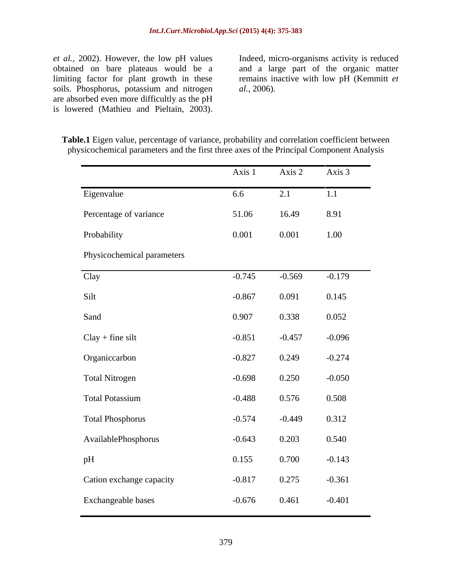*et al.*, 2002). However, the low pH values Indeed, micro-organisms activity is reduced obtained on bare plateaus would be a large part of the organic matter obtained on bare plateaus would be a and a large part of the organic matter limiting factor for plant growth in these remains inactive with low pH (Kemmitt *et*  soils. Phosphorus, potassium and nitrogen *al.*, 2006). are absorbed even more difficultly as the pH<br>is lowered (Mathieu and Pieltain, 2003). *et al.*, 2002). However, the low pH values<br>obtained on bare plateaus would be a<br>limiting factor for plant growth in these<br>soils. Phosphorus, potassium and nitrogen<br>are absorbed even more difficultly as the pH<br>is lowered (

*al.,* 2006).

|                            | Axis 1   | Axis 2   | Axis 3   |
|----------------------------|----------|----------|----------|
| Eigenvalue                 | 6.6      | 2.1      | 1.1      |
| Percentage of variance     | 51.06    | 16.49    | 8.91     |
| Probability                | 0.001    | 0.001    | 1.00     |
| Physicochemical parameters |          |          |          |
| Clay                       | $-0.745$ | $-0.569$ | $-0.179$ |
| Silt                       | $-0.867$ | 0.091    | 0.145    |
| Sand                       | 0.907    | 0.338    | 0.052    |
| $Clay + fine$ silt         | $-0.851$ | $-0.457$ | $-0.096$ |
| Organiccarbon              | $-0.827$ | 0.249    | $-0.274$ |
| <b>Total Nitrogen</b>      | $-0.698$ | 0.250    | $-0.050$ |
| <b>Total Potassium</b>     | $-0.488$ | 0.576    | 0.508    |
| <b>Total Phosphorus</b>    | $-0.574$ | $-0.449$ | 0.312    |
| AvailablePhosphorus        | $-0.643$ | 0.203    | 0.540    |
| pH                         | 0.155    | 0.700    | $-0.143$ |
| Cation exchange capacity   | $-0.817$ | 0.275    | $-0.361$ |
| Exchangeable bases         | $-0.676$ | 0.461    | $-0.401$ |

**Table.1** Eigen value, percentage of variance, probability and correlation coefficient between physicochemical parameters and the first three axes of the Principal Component Analysis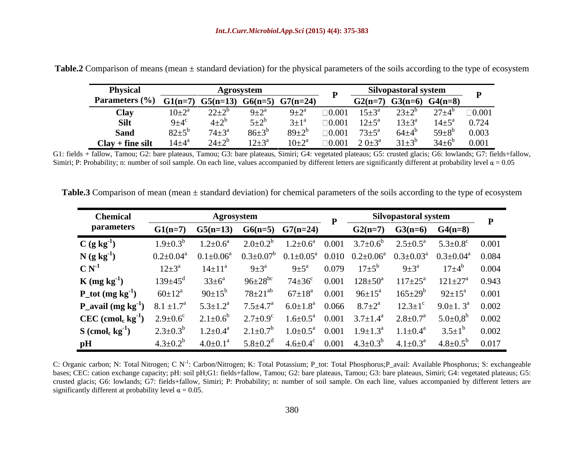| <b>Physica</b>                                             |                  | Agrosvstem                        |                |              |                                 | <b>Nilvopastoral system</b> |                                                       |
|------------------------------------------------------------|------------------|-----------------------------------|----------------|--------------|---------------------------------|-----------------------------|-------------------------------------------------------|
| Parameters $\frac{6}{6}$ G1(n=7) G5(n=13) G6(n=5) G7(n=24) |                  |                                   |                |              | $G2(n=7)$ $G3(n=6)$ $G4(n=8)$   |                             |                                                       |
|                                                            | $10\pm2^{\circ}$ |                                   |                |              | $\Box 0.001$ $15 \pm 3^{\circ}$ | $23\pm2^{6}$                | $27\pm4^b$ 0.001                                      |
|                                                            |                  |                                   |                |              |                                 |                             | $\Box 0.001$ $12\pm5^a$ $13\pm3^a$ $14\pm5^a$ 0.724   |
|                                                            | $82{\pm}5^{6}$   | $74\pm3^{\circ}$ $86\pm3^{\circ}$ | $89 \pm 2^{b}$ |              |                                 |                             | $\Box 0.001$ $73\pm5^a$ $64\pm4^b$ $59\pm8^b$ $0.003$ |
| $Clay + fine$ silt                                         | $14\pm4^{\rm a}$ |                                   |                | $\Box 0.001$ |                                 |                             | $34\pm6^6$ 0.001                                      |

**Table.2** Comparison of means (mean ± standard deviation) for the physical parameters of the soils according to the type of ecosystem

G1: fields + fallow, Tamou; G2: bare plateaus, Tamou; G3: bare plateaus, Simiri; G4: vegetated plateaus; G5: crusted glacis; G6: lowlands; G7: fields+fallow, Simiri; P: Probability; n: number of soil sample. On each line, values accompanied by different letters are significantly different at probability level  $\alpha = 0.05$ 

| Table.3 Co.<br>$\gamma$ + standard deviant<br>$_{\rm out}$ (n) for chemic<br>$\cdot$ u ot mean (m $\cdot$<br>mean tmean | $\ldots$ ers of the soils according $\ddot{\phantom{1}}$<br>$+$ $\alpha$ $+$ $\alpha$ $\alpha$ $+$ $\alpha$ $\alpha$ $+$ |  |  |
|-------------------------------------------------------------------------------------------------------------------------|--------------------------------------------------------------------------------------------------------------------------|--|--|
|                                                                                                                         |                                                                                                                          |  |  |

| parameters                                                          |                                                                                                                                                                                         |                                                                       | Silvopastoral system                               |                                                                                                     |
|---------------------------------------------------------------------|-----------------------------------------------------------------------------------------------------------------------------------------------------------------------------------------|-----------------------------------------------------------------------|----------------------------------------------------|-----------------------------------------------------------------------------------------------------|
|                                                                     | $G1(n=7)$ $G5(n=13)$ $G6(n=5)$ $G7(n=24)$                                                                                                                                               | $G2(n=7)$ $G3(n=6)$ $G4(n=8)$                                         |                                                    |                                                                                                     |
| $C(gkg^{-1})$<br>$1.9 + 0.3^{b}$                                    | $1.2\pm0.6^a$ $2.0\pm0.2^b$ $1.2\pm0.6^a$ $0.001$ $3.7\pm0.6^b$ $2.5\pm0.5^a$ $5.3\pm0.8^c$ $0.001$                                                                                     |                                                                       |                                                    |                                                                                                     |
| $N(g kg-1)$                                                         | $0.2\pm0.04^{\text{a}}$ $0.1\pm0.06^{\text{a}}$ $0.3\pm0.07^{\text{b}}$ $0.1\pm0.05^{\text{a}}$ $0.010$ $0.2\pm0.06^{\text{a}}$ $0.3\pm0.03^{\text{a}}$ $0.3\pm0.04^{\text{a}}$ $0.084$ |                                                                       |                                                    |                                                                                                     |
| $14 \pm 11^{\rm a}$<br>$C N-1$<br>$12\pm3^{\rm a}$                  | 0.079<br>$9 \pm 3^{\rm a}$<br>$9\pm5^{\mathrm{a}}$                                                                                                                                      | $17+5^{\rm b}$<br>$9\pm3^{\rm a}$                                     | $17\pm4^{\circ}$ 0.004                             |                                                                                                     |
| $33 \pm 6^{\rm a}$<br>$139 \pm 45^{\circ}$<br>$K(mg kg-1)$          | $96 \pm 28$ <sup>bc</sup>                                                                                                                                                               | $74\pm36^{\circ}$ 0.001 128 $\pm50^{\circ}$                           | $117 \pm 25^{\circ}$<br>$121 \pm 27^{\circ}$ 0.943 |                                                                                                     |
| $60 \pm 12^{\rm a}$<br>$P_{tot}(mg kg^{-1})$<br>90 $\pm 15^{\circ}$ | $78 \pm 21^{ab}$                                                                                                                                                                        | $67\pm18^a$ 0.001 $96\pm15^a$ 165 $\pm29^b$ 92 $\pm15^a$ 0.001        |                                                    |                                                                                                     |
| $8.1 \pm 1.7^{\circ}$<br>$P_$ avail (mg kg <sup>-1</sup> )          | $5.3 \pm 1.2^{\text{a}}$ $7.5 \pm 4.7^{\text{a}}$                                                                                                                                       | 6.0±1.8 <sup>a</sup> 0.066 8.7±2 <sup>a</sup><br>$12.3 \pm 1^{\circ}$ | $9.0 \pm 1.3^{\text{a}}$ 0.002                     |                                                                                                     |
| $CEC$ (cmol <sub>c</sub> kg <sup>-1</sup> )                         | $2.9\pm0.6^{\circ}$ $2.1\pm0.6^{\circ}$ $2.7\pm0.9^{\circ}$ $1.6\pm0.5^{\circ}$ $0.001$ $3.7\pm1.4^{\circ}$ $2.8\pm0.7^{\circ}$ $5.0\pm0.8^{\circ}$ $0.002$                             |                                                                       |                                                    |                                                                                                     |
| $S$ (cmol <sub>c</sub> kg <sup>-1</sup> )<br>$2.3 \pm 0.3^{\circ}$  | $1.2 \pm 0.4^{\text{a}}$ $2.1 \pm 0.7^{\text{b}}$                                                                                                                                       | $1.0\pm0.5^a$ 0.001 $1.9\pm1.3^a$ $1.1\pm0.4^a$                       | $3.5 \pm 1^{\circ}$                                | 0.002                                                                                               |
| $4.3 \pm 0.2^{\circ}$                                               |                                                                                                                                                                                         |                                                                       |                                                    |                                                                                                     |
|                                                                     |                                                                                                                                                                                         |                                                                       |                                                    | $4.0\pm0.1^a$ $5.8\pm0.2^d$ $4.6\pm0.4^c$ $0.001$ $4.3\pm0.3^b$ $4.1\pm0.3^a$ $4.8\pm0.5^b$ $0.017$ |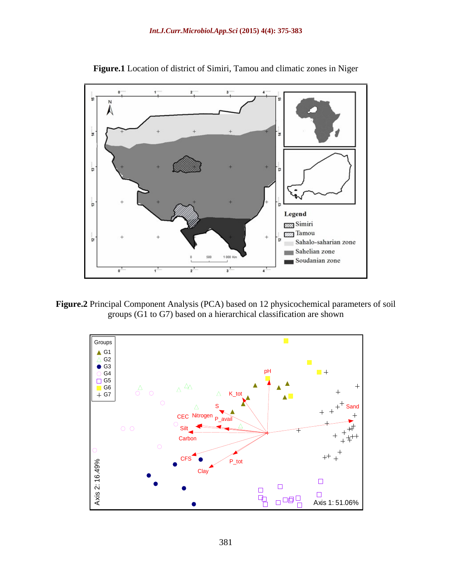

**Figure.1** Location of district of Simiri, Tamou and climatic zones in Niger

**Figure.2** Principal Component Analysis (PCA) based on 12 physicochemical parameters of soil groups (G1 to G7) based on a hierarchical classification are shown

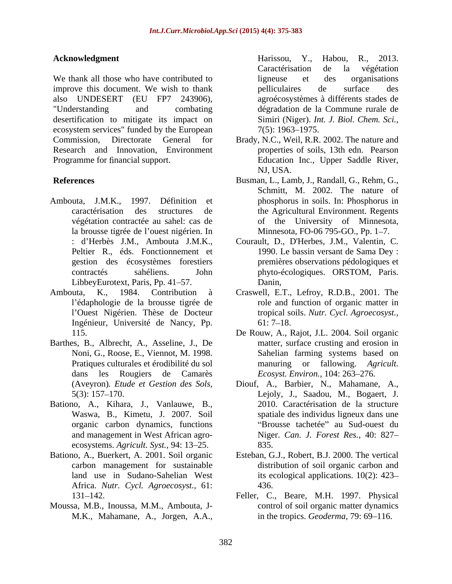We thank all those who have contributed to ligneuse et des organisations improve this document. We wish to thank pelliculaires de surface des also UNDESERT (EU FP7 243906), "Understanding and combating dégradation de la Commune rurale de desertification to mitigate its impact on ecosystem services" funded by the European  $7(5)$ : 1963–1975. Research and Innovation, Environment **Mahamane,** Mahamane, Theoretics, C. Harisson, Y., Habou, R., 2013.<br>
Mahamane, A., Harisson, Harisson (and the state of the state of the state of the state of the state of the contents of the contents of the contents of t

- Ambouta, J.M.K., 1997. Définition et phosphorus in soils. In: Phosphorus in la brousse tigrée de l'ouest nigérien. In LibbeyEurotext, Paris, Pp. 41–57. Danin,
- Ambouta, K., 1984. Contribution à Craswell, E.T., Lefroy, R.D.B., 2001. The Ingénieur, Université de Nancy, Pp.
- Barthes, B., Albrecht, A., Asseline, J., De
- Bationo, A., Kihara, J., Vanlauwe, B., Waswa, B., Kimetu, J. 2007. Soil ecosystems. *Agricult. Syst.*, 94: 13–25. 835.
- Bationo, A., Buerkert, A. 2001. Soil organic Esteban, G.J., Robert, B.J. 2000. The vertical Africa. *Nutr. Cycl. Agroecosyst.,* 61:
- Moussa, M.B., Inoussa, M.M., Ambouta, J-

**Acknowledgment** Harissou, Y., Habou, R., 2013. ligneuse et des organisations pelliculaires de surface des agroécosystèmes à différents stades de Simiri (Niger). *Int. J. Biol. Chem. Sci.,* 7(5): 1963–1975.

- Commission, Directorate General for Brady, N.C., Weil, R.R. 2002. The nature and Programme for financial support. The Education Inc., Upper Saddle River, properties of soils, 13th edn. Pearson NJ, USA.
- **References** Busman, L., Lamb, J., Randall, G., Rehm, G., caractérisation des structures de the Agricultural Environment. Regents végétation contractée au sahel: cas de of the University of Minnesota, Schmitt, M. 2002. The nature of Minnesota, FO-06 795-GO., Pp. 1-7.
	- : d Herbès J.M., Ambouta J.M.K., Courault, D., D'Herbes, J.M., Valentin, C. Peltier R., éds. Fonctionnement et 1990. Le bassin versant de Sama Dey : gestion des écosystèmes forestiers premières observations pédologiques et contractés sahéliens. John phyto-écologiques. ORSTOM, Paris. Danin,
	- l'édaphologie de la brousse tigrée de les cole and function of organic matter in l'Ouest Nigérien. Thèse de Docteur tropical soils. *Nutr. Cycl. Agroecosyst.*,  $61: 7-18.$
	- 115. De Rouw, A., Rajot, J.L. 2004. Soil organic Noni, G., Roose, E., Viennot, M. 1998. Sahelian farming systems based on Pratiques culturales et érodibilité du sol manuring or fallowing. *Agricult.* dans les Rougiers de Camarès *Ecosyst. Environ.*, 104: 263–276. matter, surface crusting and erosion in
	- (Aveyron)*. Etude et Gestion des Sols,* Diouf, A., Barbier, N., Mahamane, A., 5(3): 157 170. Lejoly, J., Saadou, M., Bogaert, J. organic carbon dynamics, functions "Brousse tachetée" au Sud-ouest du and management in West African agro- Niger. *Can. J. Forest Res.,* 40: 827 2010. Caractérisation de la structure spatiale des individus ligneux dans une 835.
	- carbon management for sustainable distribution of soil organic carbon and land use in Sudano-Sahelian West its ecological applications. 10(2): 423– 436.
	- 131 142. Feller, C., Beare, M.H. 1997. Physical control of soil organic matter dynamics in the tropics. *Geoderma*, 79: 69–116.